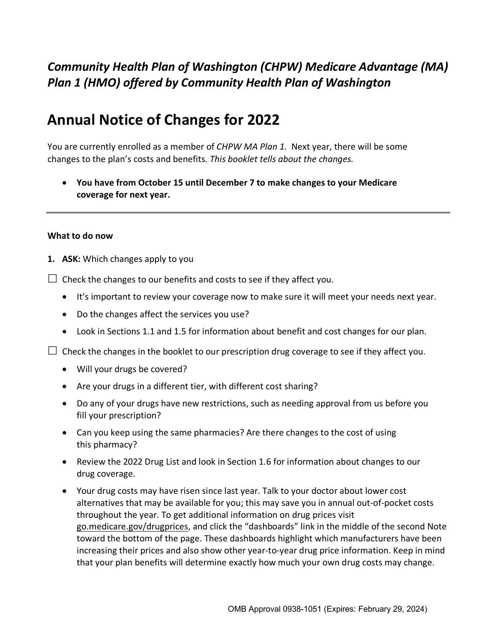# *Community Health Plan of Washington (CHPW) Medicare Advantage (MA) Plan 1 (HMO) offered by Community Health Plan of Washington*

# **Annual Notice of Changes for 2022**

You are currently enrolled as a member of *CHPW MA Plan 1.* Next year, there will be some changes to the plan's costs and benefits*. This booklet tells about the changes.*

• **You have from October 15 until December 7 to make changes to your Medicare coverage for next year.**

#### **What to do now**

**1. ASK:** Which changes apply to you

 $\Box$  Check the changes to our benefits and costs to see if they affect you.

- It's important to review your coverage now to make sure it will meet your needs next year.
- Do the changes affect the services you use?
- Look in Sections 1.1 and 1.5 for information about benefit and cost changes for our plan.

 $\Box$  Check the changes in the booklet to our prescription drug coverage to see if they affect you.

- Will your drugs be covered?
- Are your drugs in a different tier, with different cost sharing?
- Do any of your drugs have new restrictions, such as needing approval from us before you fill your prescription?
- Can you keep using the same pharmacies? Are there changes to the cost of using this pharmacy?
- Review the 2022 Drug List and look in Section 1.6 for information about changes to our drug coverage.
- Your drug costs may have risen since last year. Talk to your doctor about lower cost alternatives that may be available for you; this may save you in annual out-of-pocket costs throughout the year. To get additional information on drug prices visit [go.medicare.gov/drugprices,](https://go.medicare.gov/drugprices) and click the "dashboards" link in the middle of the second Note toward the bottom of the page. These dashboards highlight which manufacturers have been increasing their prices and also show other year-to-year drug price information. Keep in mind that your plan benefits will determine exactly how much your own drug costs may change.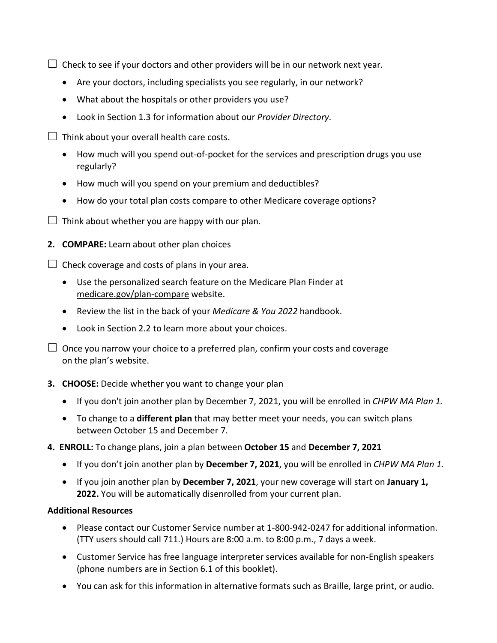$\Box$  Check to see if your doctors and other providers will be in our network next year.

- Are your doctors, including specialists you see regularly, in our network?
- What about the hospitals or other providers you use?
- Look in Section 1.3 for information about our *Provider Directory*.

 $\Box$  Think about your overall health care costs.

- How much will you spend out-of-pocket for the services and prescription drugs you use regularly?
- How much will you spend on your premium and deductibles?
- How do your total plan costs compare to other Medicare coverage options?
- $\Box$  Think about whether you are happy with our plan.
- **2. COMPARE:** Learn about other plan choices

 $\Box$  Check coverage and costs of plans in your area.

- Use the personalized search feature on the Medicare Plan Finder at [medicare.gov/plan-compare](http://www.medicare.gov/plan-compare) website.
- Review the list in the back of your *Medicare & You 2022* handbook.
- Look in Section 2.2 to learn more about your choices.

 $\Box$  Once you narrow your choice to a preferred plan, confirm your costs and coverage on the plan's website.

#### **3. CHOOSE:** Decide whether you want to change your plan

- If you don't join another plan by December 7, 2021, you will be enrolled in *CHPW MA Plan 1.*
- To change to a **different plan** that may better meet your needs, you can switch plans between October 15 and December 7.
- **4. ENROLL:** To change plans, join a plan between **October 15** and **December 7, 2021**
	- If you don't join another plan by **December 7, 2021**, you will be enrolled in *CHPW MA Plan 1*.
	- If you join another plan by **December 7, 2021**, your new coverage will start on **January 1, 2022.** You will be automatically disenrolled from your current plan.

#### **Additional Resources**

- Please contact our Customer Service number at 1-800-942-0247 for additional information. (TTY users should call 711.) Hours are 8:00 a.m. to 8:00 p.m., 7 days a week.
- Customer Service has free language interpreter services available for non-English speakers (phone numbers are in Section 6.1 of this booklet).
- You can ask for this information in alternative formats such as Braille, large print, or audio.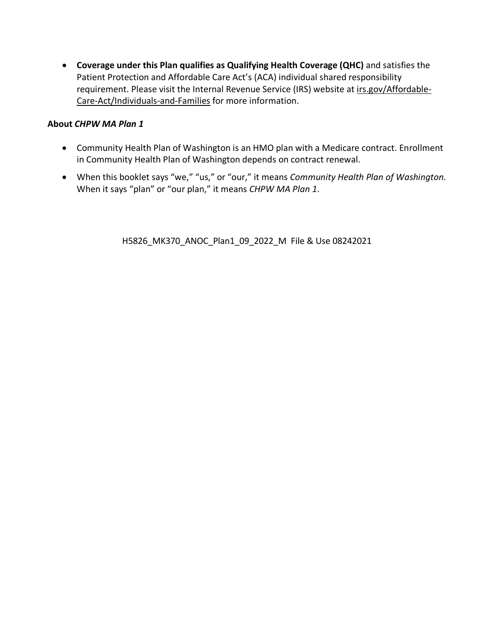• **Coverage under this Plan qualifies as Qualifying Health Coverage (QHC)** and satisfies the Patient Protection and Affordable Care Act's (ACA) individual shared responsibility requirement. Please visit the Internal Revenue Service (IRS) website at [irs.gov/Affordable-](http://www.irs.gov/Affordable-Care-Act/Individuals-and-Families)[Care-Act/Individuals-and-Families](http://www.irs.gov/Affordable-Care-Act/Individuals-and-Families) for more information.

#### **About** *CHPW MA Plan 1*

- Community Health Plan of Washington is an HMO plan with a Medicare contract. Enrollment in Community Health Plan of Washington depends on contract renewal.
- When this booklet says "we," "us," or "our," it means *Community Health Plan of Washington*. When it says "plan" or "our plan," it means *CHPW MA Plan 1*.

H5826\_MK370\_ANOC\_Plan1\_09\_2022\_M File & Use 08242021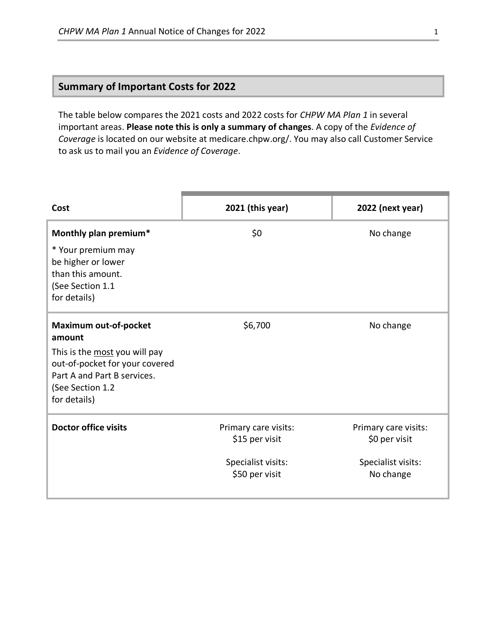# **Summary of Important Costs for 2022**

The table below compares the 2021 costs and 2022 costs for *CHPW MA Plan 1* in several important areas. **Please note this is only a summary of changes**. A copy of the *Evidence of Coverage* is located on our website at medicare.chpw.org/. You may also call Customer Service to ask us to mail you an *Evidence of Coverage*.

| Cost                                                                                                                               | 2021 (this year)                       | 2022 (next year)                      |
|------------------------------------------------------------------------------------------------------------------------------------|----------------------------------------|---------------------------------------|
| Monthly plan premium*                                                                                                              | \$0                                    | No change                             |
| * Your premium may<br>be higher or lower<br>than this amount.<br>(See Section 1.1<br>for details)                                  |                                        |                                       |
| <b>Maximum out-of-pocket</b><br>amount                                                                                             | \$6,700                                | No change                             |
| This is the most you will pay<br>out-of-pocket for your covered<br>Part A and Part B services.<br>(See Section 1.2<br>for details) |                                        |                                       |
| <b>Doctor office visits</b>                                                                                                        | Primary care visits:<br>\$15 per visit | Primary care visits:<br>\$0 per visit |
|                                                                                                                                    | Specialist visits:<br>\$50 per visit   | Specialist visits:<br>No change       |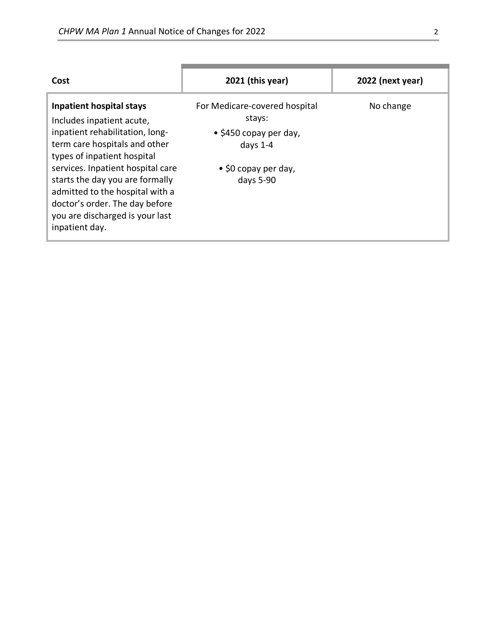| Cost                                                                                                                                                                                                                                                                                                                                                              | $2021$ (this year)                                                                                                                   | 2022 (next year) |
|-------------------------------------------------------------------------------------------------------------------------------------------------------------------------------------------------------------------------------------------------------------------------------------------------------------------------------------------------------------------|--------------------------------------------------------------------------------------------------------------------------------------|------------------|
| <b>Inpatient hospital stays</b><br>Includes inpatient acute,<br>inpatient rehabilitation, long-<br>term care hospitals and other<br>types of inpatient hospital<br>services. Inpatient hospital care<br>starts the day you are formally<br>admitted to the hospital with a<br>doctor's order. The day before<br>you are discharged is your last<br>inpatient day. | For Medicare-covered hospital<br>stays:<br>$\bullet$ \$450 copay per day,<br>days $1-4$<br>$\bullet$ \$0 copay per day,<br>days 5-90 | No change        |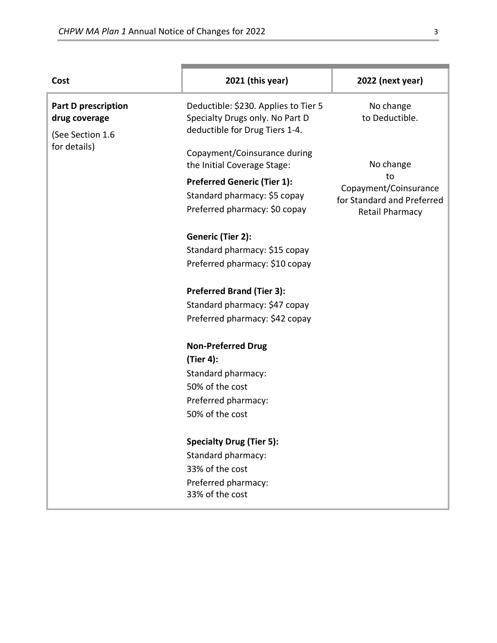| Cost                                                            | 2021 (this year)                                                                                          | 2022 (next year)                                                             |
|-----------------------------------------------------------------|-----------------------------------------------------------------------------------------------------------|------------------------------------------------------------------------------|
| <b>Part D prescription</b><br>drug coverage<br>(See Section 1.6 | Deductible: \$230. Applies to Tier 5<br>Specialty Drugs only. No Part D<br>deductible for Drug Tiers 1-4. | No change<br>to Deductible.                                                  |
| for details)                                                    | Copayment/Coinsurance during<br>the Initial Coverage Stage:                                               | No change                                                                    |
|                                                                 | <b>Preferred Generic (Tier 1):</b><br>Standard pharmacy: \$5 copay<br>Preferred pharmacy: \$0 copay       | to<br>Copayment/Coinsurance<br>for Standard and Preferred<br>Retail Pharmacy |
|                                                                 | Generic (Tier 2):                                                                                         |                                                                              |
|                                                                 | Standard pharmacy: \$15 copay                                                                             |                                                                              |
|                                                                 | Preferred pharmacy: \$10 copay                                                                            |                                                                              |
|                                                                 | <b>Preferred Brand (Tier 3):</b>                                                                          |                                                                              |
|                                                                 | Standard pharmacy: \$47 copay                                                                             |                                                                              |
|                                                                 | Preferred pharmacy: \$42 copay                                                                            |                                                                              |
|                                                                 | <b>Non-Preferred Drug</b>                                                                                 |                                                                              |
|                                                                 | (Tier 4):                                                                                                 |                                                                              |
|                                                                 | Standard pharmacy:                                                                                        |                                                                              |
|                                                                 | 50% of the cost                                                                                           |                                                                              |
|                                                                 | Preferred pharmacy:                                                                                       |                                                                              |
|                                                                 | 50% of the cost                                                                                           |                                                                              |
|                                                                 | <b>Specialty Drug (Tier 5):</b>                                                                           |                                                                              |
|                                                                 | Standard pharmacy:                                                                                        |                                                                              |
|                                                                 | 33% of the cost                                                                                           |                                                                              |
|                                                                 | Preferred pharmacy:                                                                                       |                                                                              |
|                                                                 | 33% of the cost                                                                                           |                                                                              |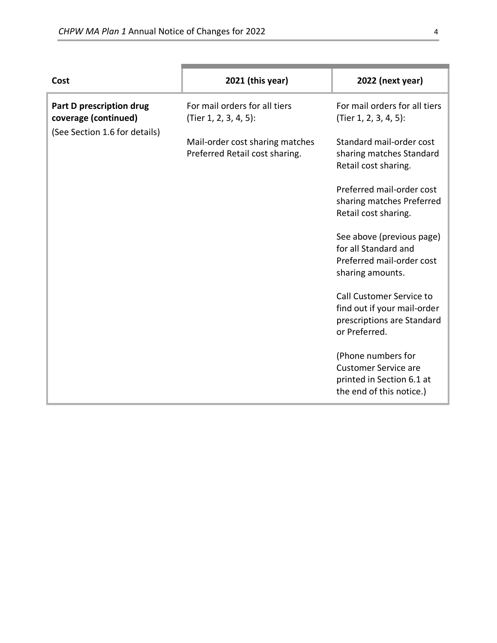| Cost                                                                              | 2021 (this year)                                                  | 2022 (next year)                                                                                           |
|-----------------------------------------------------------------------------------|-------------------------------------------------------------------|------------------------------------------------------------------------------------------------------------|
| Part D prescription drug<br>coverage (continued)<br>(See Section 1.6 for details) | For mail orders for all tiers<br>(Tier 1, 2, 3, 4, 5):            | For mail orders for all tiers<br>(Tier 1, 2, 3, 4, 5):                                                     |
|                                                                                   | Mail-order cost sharing matches<br>Preferred Retail cost sharing. | Standard mail-order cost<br>sharing matches Standard<br>Retail cost sharing.                               |
|                                                                                   |                                                                   | Preferred mail-order cost<br>sharing matches Preferred<br>Retail cost sharing.                             |
|                                                                                   |                                                                   | See above (previous page)<br>for all Standard and<br>Preferred mail-order cost<br>sharing amounts.         |
|                                                                                   |                                                                   | Call Customer Service to<br>find out if your mail-order<br>prescriptions are Standard<br>or Preferred.     |
|                                                                                   |                                                                   | (Phone numbers for<br><b>Customer Service are</b><br>printed in Section 6.1 at<br>the end of this notice.) |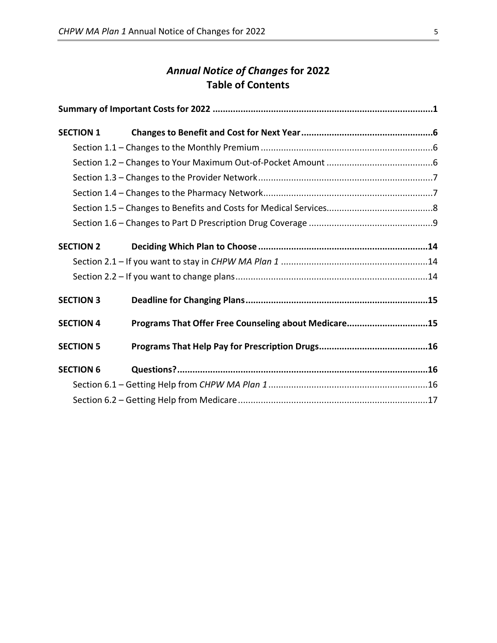# *Annual Notice of Changes* **for 2022 Table of Contents**

| <b>SECTION 1</b> |                                                      |  |
|------------------|------------------------------------------------------|--|
|                  |                                                      |  |
|                  |                                                      |  |
|                  |                                                      |  |
|                  |                                                      |  |
|                  |                                                      |  |
|                  |                                                      |  |
| <b>SECTION 2</b> |                                                      |  |
|                  |                                                      |  |
|                  |                                                      |  |
| <b>SECTION 3</b> |                                                      |  |
| <b>SECTION 4</b> | Programs That Offer Free Counseling about Medicare15 |  |
| <b>SECTION 5</b> |                                                      |  |
| <b>SECTION 6</b> |                                                      |  |
|                  |                                                      |  |
|                  |                                                      |  |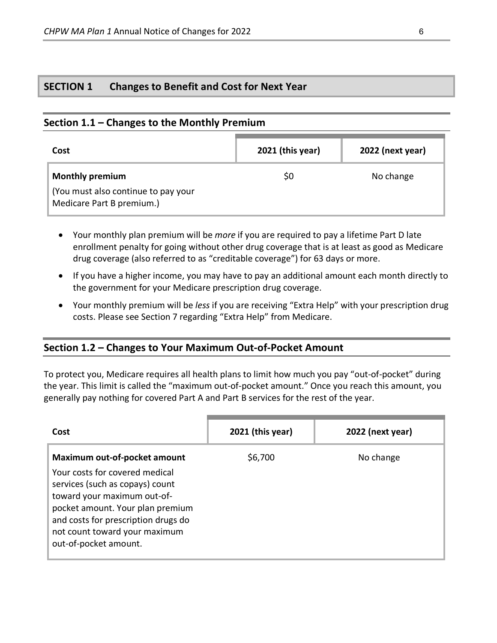# **SECTION 1 Changes to Benefit and Cost for Next Year**

## **Section 1.1 – Changes to the Monthly Premium**

| Cost                                                             | 2021 (this year) | 2022 (next year) |
|------------------------------------------------------------------|------------------|------------------|
| <b>Monthly premium</b>                                           | S0               | No change        |
| (You must also continue to pay your<br>Medicare Part B premium.) |                  |                  |

- Your monthly plan premium will be *more* if you are required to pay a lifetime Part D late enrollment penalty for going without other drug coverage that is at least as good as Medicare drug coverage (also referred to as "creditable coverage") for 63 days or more.
- If you have a higher income, you may have to pay an additional amount each month directly to the government for your Medicare prescription drug coverage.
- Your monthly premium will be *less* if you are receiving "Extra Help" with your prescription drug costs. Please see Section 7 regarding "Extra Help" from Medicare.

#### **Section 1.2 – Changes to Your Maximum Out-of-Pocket Amount**

To protect you, Medicare requires all health plans to limit how much you pay "out-of-pocket" during the year. This limit is called the "maximum out-of-pocket amount." Once you reach this amount, you generally pay nothing for covered Part A and Part B services for the rest of the year.

| Cost                                                                                                                                                                                                                                                                         | $2021$ (this year) | 2022 (next year) |
|------------------------------------------------------------------------------------------------------------------------------------------------------------------------------------------------------------------------------------------------------------------------------|--------------------|------------------|
| <b>Maximum out-of-pocket amount</b><br>Your costs for covered medical<br>services (such as copays) count<br>toward your maximum out-of-<br>pocket amount. Your plan premium<br>and costs for prescription drugs do<br>not count toward your maximum<br>out-of-pocket amount. | \$6,700            | No change        |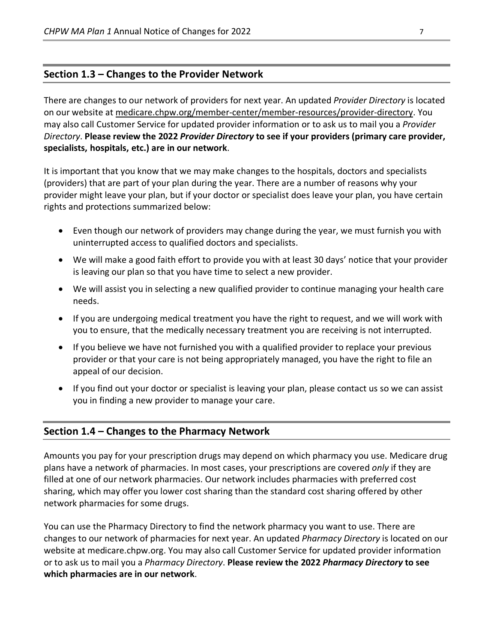# **Section 1.3 – Changes to the Provider Network**

There are changes to our network of providers for next year. An updated *Provider Directory* is located on our website at [medicare.chpw.org/member-center/member-resources/provider-directory.](https://medicare.chpw.org/member-center/member-resources/provider-directory/) You may also call Customer Service for updated provider information or to ask us to mail you a *Provider Directory*. **Please review the 2022** *Provider Directory* **to see if your providers (primary care provider, specialists, hospitals, etc.) are in our network**.

It is important that you know that we may make changes to the hospitals, doctors and specialists (providers) that are part of your plan during the year. There are a number of reasons why your provider might leave your plan, but if your doctor or specialist does leave your plan, you have certain rights and protections summarized below:

- Even though our network of providers may change during the year, we must furnish you with uninterrupted access to qualified doctors and specialists.
- We will make a good faith effort to provide you with at least 30 days' notice that your provider is leaving our plan so that you have time to select a new provider.
- We will assist you in selecting a new qualified provider to continue managing your health care needs.
- If you are undergoing medical treatment you have the right to request, and we will work with you to ensure, that the medically necessary treatment you are receiving is not interrupted.
- If you believe we have not furnished you with a qualified provider to replace your previous provider or that your care is not being appropriately managed, you have the right to file an appeal of our decision.
- If you find out your doctor or specialist is leaving your plan, please contact us so we can assist you in finding a new provider to manage your care.

#### **Section 1.4 – Changes to the Pharmacy Network**

Amounts you pay for your prescription drugs may depend on which pharmacy you use. Medicare drug plans have a network of pharmacies. In most cases, your prescriptions are covered *only* if they are filled at one of our network pharmacies. Our network includes pharmacies with preferred cost sharing, which may offer you lower cost sharing than the standard cost sharing offered by other network pharmacies for some drugs.

You can use the Pharmacy Directory to find the network pharmacy you want to use. There are changes to our network of pharmacies for next year. An updated *Pharmacy Directory* is located on our website at medicare.chpw.org. You may also call Customer Service for updated provider information or to ask us to mail you a *Pharmacy Directory*. **Please review the 2022** *Pharmacy Directory* **to see which pharmacies are in our network**.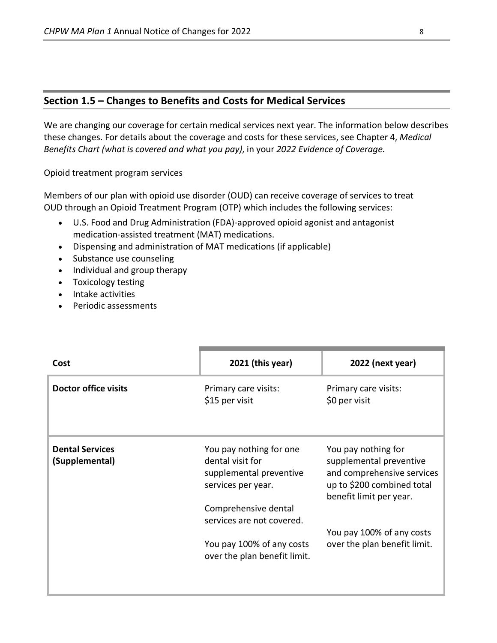#### **Section 1.5 – Changes to Benefits and Costs for Medical Services**

We are changing our coverage for certain medical services next year. The information below describes these changes. For details about the coverage and costs for these services, see Chapter 4, *Medical Benefits Chart (what is covered and what you pay)*, in your *2022 Evidence of Coverage.*

Opioid treatment program services

Members of our plan with opioid use disorder (OUD) can receive coverage of services to treat OUD through an Opioid Treatment Program (OTP) which includes the following services:

- U.S. Food and Drug Administration (FDA)-approved opioid agonist and antagonist medication-assisted treatment (MAT) medications.
- Dispensing and administration of MAT medications (if applicable)
- Substance use counseling
- Individual and group therapy
- Toxicology testing
- Intake activities
- Periodic assessments

| Cost                                     | $2021$ (this year)                                                                           | 2022 (next year)                                                                                                                      |
|------------------------------------------|----------------------------------------------------------------------------------------------|---------------------------------------------------------------------------------------------------------------------------------------|
| <b>Doctor office visits</b>              | Primary care visits:<br>\$15 per visit                                                       | Primary care visits:<br>\$0 per visit                                                                                                 |
| <b>Dental Services</b><br>(Supplemental) | You pay nothing for one<br>dental visit for<br>supplemental preventive<br>services per year. | You pay nothing for<br>supplemental preventive<br>and comprehensive services<br>up to \$200 combined total<br>benefit limit per year. |
|                                          | Comprehensive dental<br>services are not covered.                                            |                                                                                                                                       |
|                                          | You pay 100% of any costs                                                                    | You pay 100% of any costs<br>over the plan benefit limit.                                                                             |
|                                          | over the plan benefit limit.                                                                 |                                                                                                                                       |
|                                          |                                                                                              |                                                                                                                                       |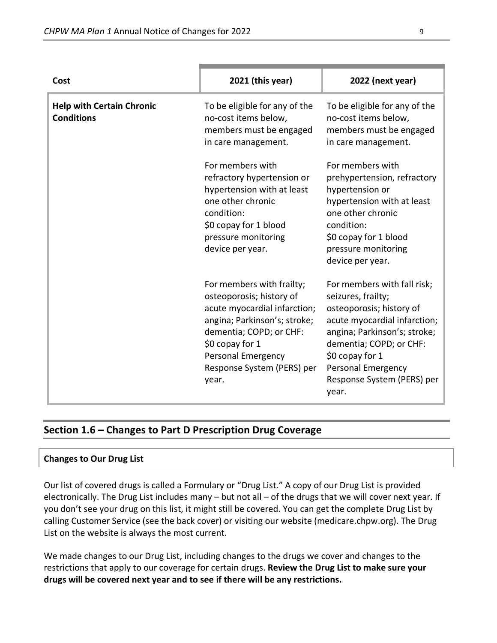| Cost                                                  | 2021 (this year)                                                                                                                                                                                                                        | 2022 (next year)                                                                                                                                                                                                                                                |
|-------------------------------------------------------|-----------------------------------------------------------------------------------------------------------------------------------------------------------------------------------------------------------------------------------------|-----------------------------------------------------------------------------------------------------------------------------------------------------------------------------------------------------------------------------------------------------------------|
| <b>Help with Certain Chronic</b><br><b>Conditions</b> | To be eligible for any of the<br>no-cost items below,<br>members must be engaged<br>in care management.                                                                                                                                 | To be eligible for any of the<br>no-cost items below,<br>members must be engaged<br>in care management.                                                                                                                                                         |
|                                                       | For members with<br>refractory hypertension or<br>hypertension with at least<br>one other chronic<br>condition:<br>\$0 copay for 1 blood<br>pressure monitoring<br>device per year.                                                     | For members with<br>prehypertension, refractory<br>hypertension or<br>hypertension with at least<br>one other chronic<br>condition:<br>\$0 copay for 1 blood<br>pressure monitoring<br>device per year.                                                         |
|                                                       | For members with frailty;<br>osteoporosis; history of<br>acute myocardial infarction;<br>angina; Parkinson's; stroke;<br>dementia; COPD; or CHF:<br>\$0 copay for 1<br><b>Personal Emergency</b><br>Response System (PERS) per<br>year. | For members with fall risk;<br>seizures, frailty;<br>osteoporosis; history of<br>acute myocardial infarction;<br>angina; Parkinson's; stroke;<br>dementia; COPD; or CHF:<br>\$0 copay for 1<br><b>Personal Emergency</b><br>Response System (PERS) per<br>year. |

# **Section 1.6 – Changes to Part D Prescription Drug Coverage**

#### **Changes to Our Drug List**

Our list of covered drugs is called a Formulary or "Drug List." A copy of our Drug List is provided electronically. The Drug List includes many – but not all – of the drugs that we will cover next year. If you don't see your drug on this list, it might still be covered. You can get the complete Drug List by calling Customer Service (see the back cover) or visiting our website (medicare.chpw.org). The Drug List on the website is always the most current.

We made changes to our Drug List, including changes to the drugs we cover and changes to the restrictions that apply to our coverage for certain drugs. **Review the Drug List to make sure your drugs will be covered next year and to see if there will be any restrictions.**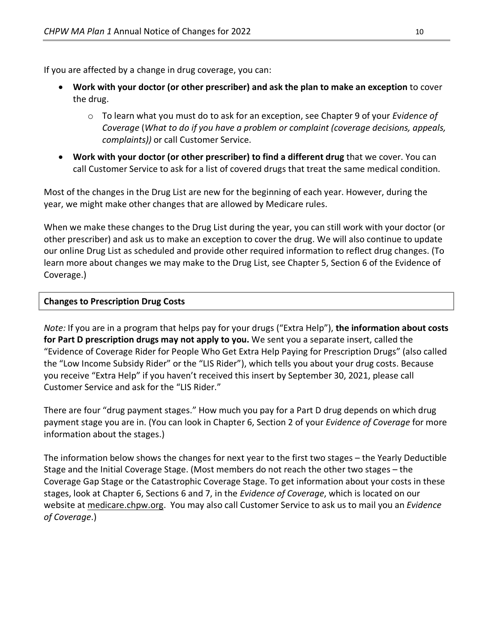If you are affected by a change in drug coverage, you can:

- **Work with your doctor (or other prescriber) and ask the plan to make an exception** to cover the drug.
	- o To learn what you must do to ask for an exception, see Chapter 9 of your *E*v*idence of Coverage* (*What to do if you have a problem or complaint (coverage decisions, appeals, complaints))* or call Customer Service.
- **Work with your doctor (or other prescriber) to find a different drug** that we cover. You can call Customer Service to ask for a list of covered drugs that treat the same medical condition.

Most of the changes in the Drug List are new for the beginning of each year. However, during the year, we might make other changes that are allowed by Medicare rules.

When we make these changes to the Drug List during the year, you can still work with your doctor (or other prescriber) and ask us to make an exception to cover the drug. We will also continue to update our online Drug List as scheduled and provide other required information to reflect drug changes. (To learn more about changes we may make to the Drug List, see Chapter 5, Section 6 of the Evidence of Coverage.)

#### **Changes to Prescription Drug Costs**

*Note:* If you are in a program that helps pay for your drugs ("Extra Help"), **the information about costs for Part D prescription drugs may not apply to you.** We sent you a separate insert, called the "Evidence of Coverage Rider for People Who Get Extra Help Paying for Prescription Drugs" (also called the "Low Income Subsidy Rider" or the "LIS Rider"), which tells you about your drug costs. Because you receive "Extra Help" if you haven't received this insert by September 30, 2021, please call Customer Service and ask for the "LIS Rider."

There are four "drug payment stages." How much you pay for a Part D drug depends on which drug payment stage you are in. (You can look in Chapter 6, Section 2 of your *Evidence of Coverage* for more information about the stages.)

The information below shows the changes for next year to the first two stages – the Yearly Deductible Stage and the Initial Coverage Stage. (Most members do not reach the other two stages – the Coverage Gap Stage or the Catastrophic Coverage Stage. To get information about your costs in these stages, look at Chapter 6, Sections 6 and 7, in the *Evidence of Coverage*, which is located on our website a[t medicare.chpw.org.](https://medicare.chpw.org/) You may also call Customer Service to ask us to mail you an *Evidence of Coverage*.)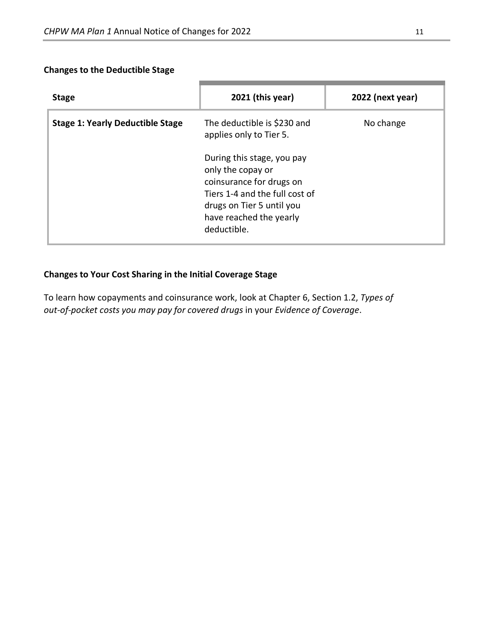### **Changes to the Deductible Stage**

| <b>Stage</b>                            | $2021$ (this year)                                                                                                                                                                   | 2022 (next year) |
|-----------------------------------------|--------------------------------------------------------------------------------------------------------------------------------------------------------------------------------------|------------------|
| <b>Stage 1: Yearly Deductible Stage</b> | The deductible is \$230 and<br>applies only to Tier 5.                                                                                                                               | No change        |
|                                         | During this stage, you pay<br>only the copay or<br>coinsurance for drugs on<br>Tiers 1-4 and the full cost of<br>drugs on Tier 5 until you<br>have reached the yearly<br>deductible. |                  |

# **Changes to Your Cost Sharing in the Initial Coverage Stage**

To learn how copayments and coinsurance work, look at Chapter 6, Section 1.2, *Types of out-of-pocket costs you may pay for covered drugs* in your *Evidence of Coverage*.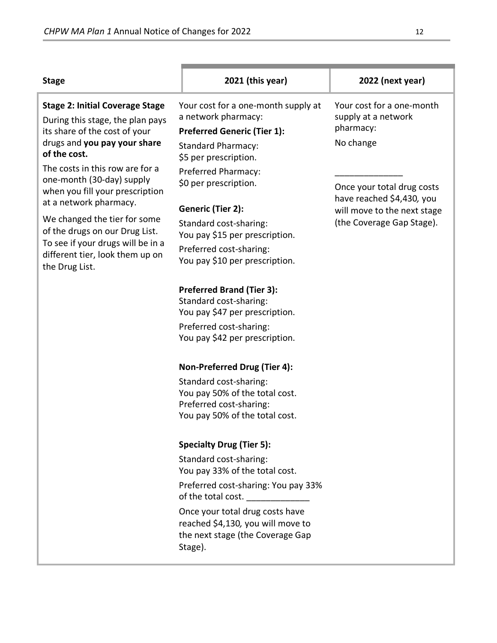| <b>Stage</b>                                                                                                                                                | 2021 (this year)                                                                                                                                                                                                                                                                | 2022 (next year)                                                           |
|-------------------------------------------------------------------------------------------------------------------------------------------------------------|---------------------------------------------------------------------------------------------------------------------------------------------------------------------------------------------------------------------------------------------------------------------------------|----------------------------------------------------------------------------|
| <b>Stage 2: Initial Coverage Stage</b><br>During this stage, the plan pays<br>its share of the cost of your<br>drugs and you pay your share<br>of the cost. | Your cost for a one-month supply at<br>a network pharmacy:<br><b>Preferred Generic (Tier 1):</b><br><b>Standard Pharmacy:</b><br>\$5 per prescription.                                                                                                                          | Your cost for a one-month<br>supply at a network<br>pharmacy:<br>No change |
| The costs in this row are for a<br>one-month (30-day) supply<br>when you fill your prescription<br>at a network pharmacy.                                   | Preferred Pharmacy:<br>\$0 per prescription.                                                                                                                                                                                                                                    | Once your total drug costs<br>have reached \$4,430, you                    |
| We changed the tier for some<br>of the drugs on our Drug List.<br>To see if your drugs will be in a<br>different tier, look them up on<br>the Drug List.    | Generic (Tier 2):<br>Standard cost-sharing:<br>You pay \$15 per prescription.<br>Preferred cost-sharing:<br>You pay \$10 per prescription.                                                                                                                                      | will move to the next stage<br>(the Coverage Gap Stage).                   |
|                                                                                                                                                             | <b>Preferred Brand (Tier 3):</b><br>Standard cost-sharing:<br>You pay \$47 per prescription.<br>Preferred cost-sharing:<br>You pay \$42 per prescription.                                                                                                                       |                                                                            |
|                                                                                                                                                             | Non-Preferred Drug (Tier 4):<br>Standard cost-sharing:<br>You pay 50% of the total cost.<br>Preferred cost-sharing:<br>You pay 50% of the total cost.                                                                                                                           |                                                                            |
|                                                                                                                                                             | <b>Specialty Drug (Tier 5):</b><br>Standard cost-sharing:<br>You pay 33% of the total cost.<br>Preferred cost-sharing: You pay 33%<br>of the total cost.<br>Once your total drug costs have<br>reached \$4,130, you will move to<br>the next stage (the Coverage Gap<br>Stage). |                                                                            |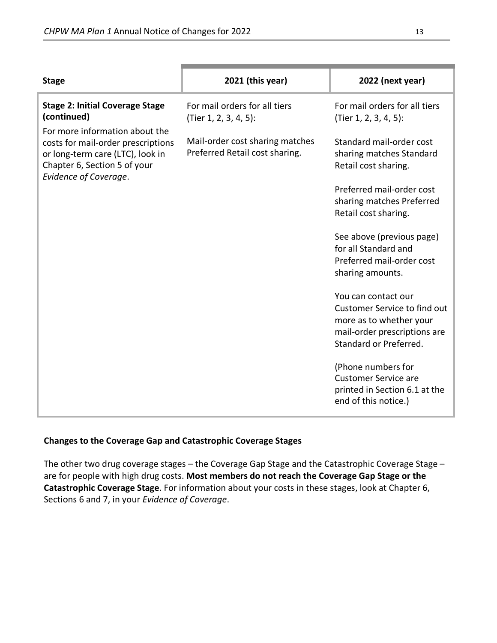| <b>Stage</b>                                                                                                                                                      | 2021 (this year)                                                  | 2022 (next year)                                                                                                                                |
|-------------------------------------------------------------------------------------------------------------------------------------------------------------------|-------------------------------------------------------------------|-------------------------------------------------------------------------------------------------------------------------------------------------|
| <b>Stage 2: Initial Coverage Stage</b><br>(continued)                                                                                                             | For mail orders for all tiers<br>(Tier 1, 2, 3, 4, 5):            | For mail orders for all tiers<br>(Tier 1, 2, 3, 4, 5):                                                                                          |
| For more information about the<br>costs for mail-order prescriptions<br>or long-term care (LTC), look in<br>Chapter 6, Section 5 of your<br>Evidence of Coverage. | Mail-order cost sharing matches<br>Preferred Retail cost sharing. | Standard mail-order cost<br>sharing matches Standard<br>Retail cost sharing.                                                                    |
|                                                                                                                                                                   |                                                                   | Preferred mail-order cost<br>sharing matches Preferred<br>Retail cost sharing.                                                                  |
|                                                                                                                                                                   |                                                                   | See above (previous page)<br>for all Standard and<br>Preferred mail-order cost<br>sharing amounts.                                              |
|                                                                                                                                                                   |                                                                   | You can contact our<br><b>Customer Service to find out</b><br>more as to whether your<br>mail-order prescriptions are<br>Standard or Preferred. |
|                                                                                                                                                                   |                                                                   | (Phone numbers for<br><b>Customer Service are</b><br>printed in Section 6.1 at the<br>end of this notice.)                                      |

#### **Changes to the Coverage Gap and Catastrophic Coverage Stages**

The other two drug coverage stages – the Coverage Gap Stage and the Catastrophic Coverage Stage – are for people with high drug costs. **Most members do not reach the Coverage Gap Stage or the Catastrophic Coverage Stage**. For information about your costs in these stages, look at Chapter 6, Sections 6 and 7, in your *Evidence of Coverage*.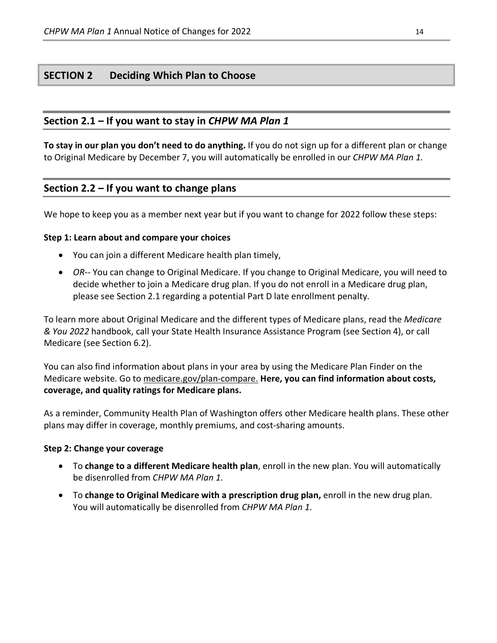# **SECTION 2 Deciding Which Plan to Choose**

### **Section 2.1 – If you want to stay in** *CHPW MA Plan 1*

**To stay in our plan you don't need to do anything.** If you do not sign up for a different plan or change to Original Medicare by December 7, you will automatically be enrolled in our *CHPW MA Plan 1.*

#### **Section 2.2 – If you want to change plans**

We hope to keep you as a member next year but if you want to change for 2022 follow these steps:

#### **Step 1: Learn about and compare your choices**

- You can join a different Medicare health plan timely,
- *OR*-- You can change to Original Medicare. If you change to Original Medicare, you will need to decide whether to join a Medicare drug plan. If you do not enroll in a Medicare drug plan, please see Section 2.1 regarding a potential Part D late enrollment penalty.

To learn more about Original Medicare and the different types of Medicare plans, read the *Medicare & You 2022* handbook, call your State Health Insurance Assistance Program (see Section 4), or call Medicare (see Section 6.2).

You can also find information about plans in your area by using the Medicare Plan Finder on the Medicare website. Go t[o medicare.gov/plan-compare.](http://www.medicare.gov/plan-compare) **Here, you can find information about costs, coverage, and quality ratings for Medicare plans.**

As a reminder, Community Health Plan of Washington offers other Medicare health plans. These other plans may differ in coverage, monthly premiums, and cost-sharing amounts.

#### **Step 2: Change your coverage**

- To **change to a different Medicare health plan**, enroll in the new plan. You will automatically be disenrolled from *CHPW MA Plan 1*.
- To **change to Original Medicare with a prescription drug plan,** enroll in the new drug plan. You will automatically be disenrolled from *CHPW MA Plan 1*.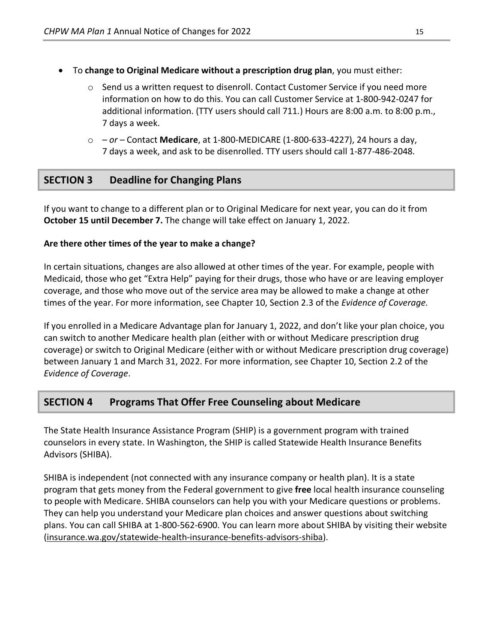- To **change to Original Medicare without a prescription drug plan**, you must either:
	- $\circ$  Send us a written request to disenroll. Contact Customer Service if you need more information on how to do this. You can call Customer Service at 1-800-942-0247 for additional information. (TTY users should call 711.) Hours are 8:00 a.m. to 8:00 p.m., 7 days a week.
	- o  *or –* Contact **Medicare**, at 1-800-MEDICARE (1-800-633-4227), 24 hours a day, 7 days a week, and ask to be disenrolled. TTY users should call 1-877-486-2048.

# **SECTION 3 Deadline for Changing Plans**

If you want to change to a different plan or to Original Medicare for next year, you can do it from **October 15 until December 7.** The change will take effect on January 1, 2022.

#### **Are there other times of the year to make a change?**

In certain situations, changes are also allowed at other times of the year. For example, people with Medicaid, those who get "Extra Help" paying for their drugs, those who have or are leaving employer coverage, and those who move out of the service area may be allowed to make a change at other times of the year. For more information, see Chapter 10, Section 2.3 of the *Evidence of Coverage.*

If you enrolled in a Medicare Advantage plan for January 1, 2022, and don't like your plan choice, you can switch to another Medicare health plan (either with or without Medicare prescription drug coverage) or switch to Original Medicare (either with or without Medicare prescription drug coverage) between January 1 and March 31, 2022. For more information, see Chapter 10, Section 2.2 of the *Evidence of Coverage*.

# **SECTION 4 Programs That Offer Free Counseling about Medicare**

The State Health Insurance Assistance Program (SHIP) is a government program with trained counselors in every state. In Washington, the SHIP is called Statewide Health Insurance Benefits Advisors (SHIBA).

SHIBA is independent (not connected with any insurance company or health plan). It is a state program that gets money from the Federal government to give **free** local health insurance counseling to people with Medicare. SHIBA counselors can help you with your Medicare questions or problems. They can help you understand your Medicare plan choices and answer questions about switching plans. You can call SHIBA at 1-800-562-6900. You can learn more about SHIBA by visiting their website [\(insurance.wa.gov/statewide-health-insurance-benefits-advisors-shiba\)](http://www.insurance.wa.gov/statewide-health-insurance-benefits-advisors-shiba).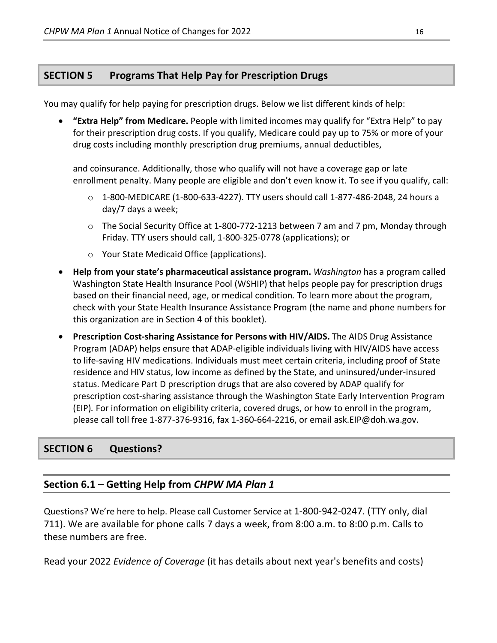# **SECTION 5 Programs That Help Pay for Prescription Drugs**

You may qualify for help paying for prescription drugs. Below we list different kinds of help:

• **"Extra Help" from Medicare.** People with limited incomes may qualify for "Extra Help" to pay for their prescription drug costs. If you qualify, Medicare could pay up to 75% or more of your drug costs including monthly prescription drug premiums, annual deductibles,

and coinsurance. Additionally, those who qualify will not have a coverage gap or late enrollment penalty. Many people are eligible and don't even know it. To see if you qualify, call:

- $\circ$  1-800-MEDICARE (1-800-633-4227). TTY users should call 1-877-486-2048, 24 hours a day/7 days a week;
- o The Social Security Office at 1-800-772-1213 between 7 am and 7 pm, Monday through Friday. TTY users should call, 1-800-325-0778 (applications); or
- o Your State Medicaid Office (applications).
- **Help from your state's pharmaceutical assistance program.** *Washington* has a program called Washington State Health Insurance Pool (WSHIP) that helps people pay for prescription drugs based on their financial need, age, or medical condition*.* To learn more about the program, check with your State Health Insurance Assistance Program (the name and phone numbers for this organization are in Section 4 of this booklet)*.*
- **Prescription Cost-sharing Assistance for Persons with HIV/AIDS.** The AIDS Drug Assistance Program (ADAP) helps ensure that ADAP-eligible individuals living with HIV/AIDS have access to life-saving HIV medications. Individuals must meet certain criteria, including proof of State residence and HIV status, low income as defined by the State, and uninsured/under-insured status. Medicare Part D prescription drugs that are also covered by ADAP qualify for prescription cost-sharing assistance through the Washington State Early Intervention Program (EIP)*.* For information on eligibility criteria, covered drugs, or how to enroll in the program, please call toll free 1-877-376-9316, fax 1-360-664-2216, or email ask.EIP@doh.wa.gov.

# **SECTION 6 Questions?**

# **Section 6.1 – Getting Help from** *CHPW MA Plan 1*

Questions? We're here to help. Please call Customer Service at 1-800-942-0247. (TTY only, dial 711). We are available for phone calls 7 days a week, from 8:00 a.m. to 8:00 p.m. Calls to these numbers are free.

Read your 2022 *Evidence of Coverage* (it has details about next year's benefits and costs)